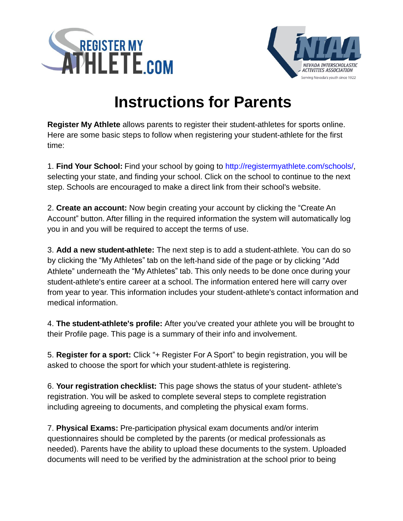



## **Instructions for Parents**

**Register My Athlete** allows parents to register their student-athletes for sports online. Here are some basic steps to follow when registering your student-athlete for the first time:

1. **Find Your School:** Find your school by going to [http://registermyathlete.com/schools/,](http://registermyathlete.com/schools/) selecting your state, and finding your school. Click on the school to continue to the next step. Schools are encouraged to make a direct link from their school's website.

2. **Create an account:** Now begin creating your account by clicking the "Create An Account" button. After filling in the required information the system will automatically log you in and you will be required to accept the terms of use.

3. **Add a new student-athlete:** The next step is to add a student-athlete. You can do so by clicking the "My Athletes" tab on the left-hand side of the page or by clicking "Add Athlete" underneath the "My Athletes" tab. This only needs to be done once during your student-athlete's entire career at a school. The information entered here will carry over from year to year. This information includes your student-athlete's contact information and medical information.

4. **The student-athlete's profile:** After you've created your athlete you will be brought to their Profile page. This page is a summary of their info and involvement.

5. **Register for a sport:** Click "+ Register For A Sport" to begin registration, you will be asked to choose the sport for which your student-athlete is registering.

6. **Your registration checklist:** This page shows the status of your student- athlete's registration. You will be asked to complete several steps to complete registration including agreeing to documents, and completing the physical exam forms.

7. **Physical Exams:** Pre-participation physical exam documents and/or interim questionnaires should be completed by the parents (or medical professionals as needed). Parents have the ability to upload these documents to the system. Uploaded documents will need to be verified by the administration at the school prior to being